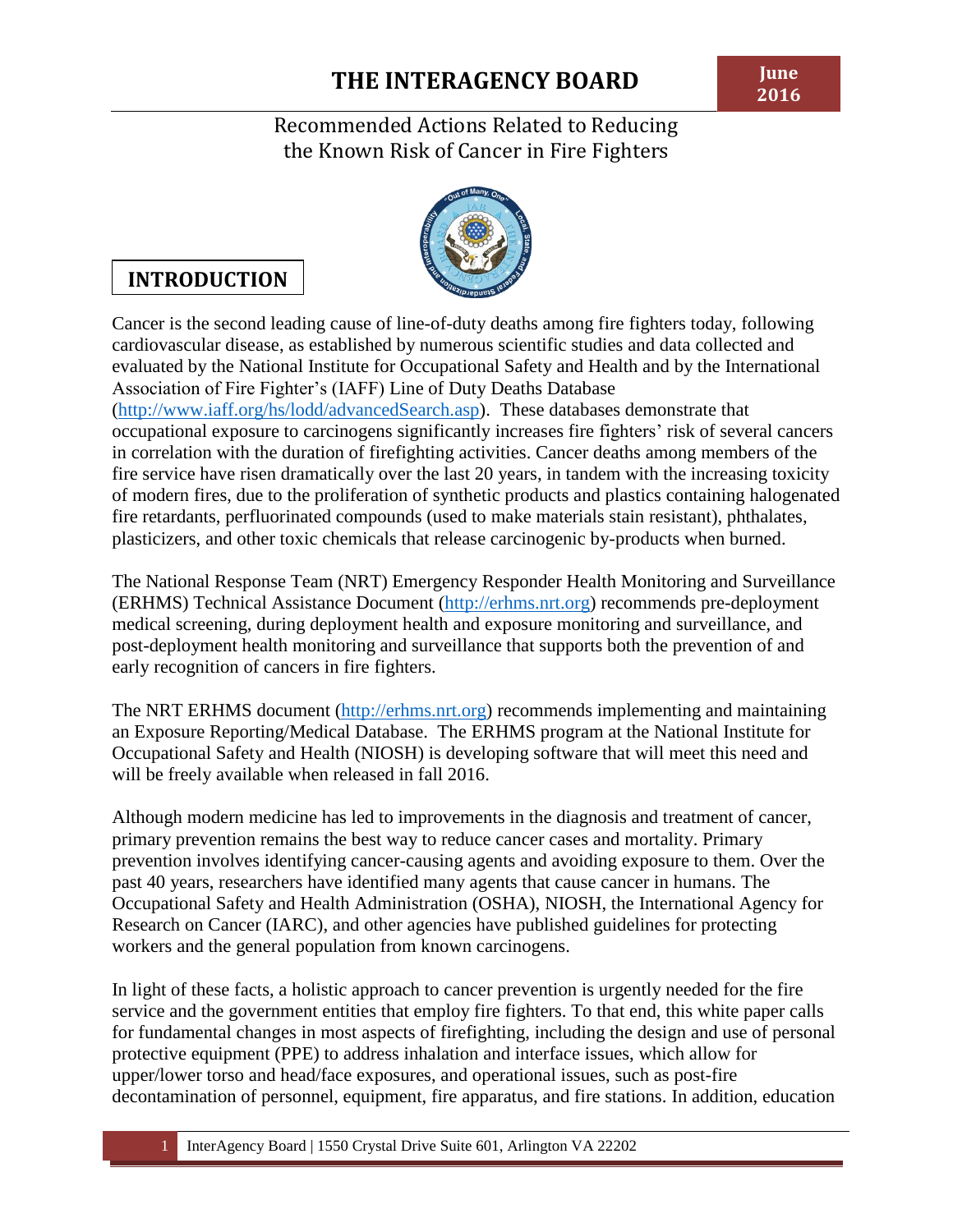

# **INTRODUCTION**

Cancer is the second leading cause of line-of-duty deaths among fire fighters today, following cardiovascular disease, as established by numerous scientific studies and data collected and evaluated by the National Institute for Occupational Safety and Health and by the International Association of Fire Fighter's (IAFF) Line of Duty Deaths Database (http://www.iaff.org/hs/lodd/advancedSearch.asp). These databases demonstrate that occupational exposure to carcinogens significantly increases fire fighters' risk of several cancers in correlation with the duration of firefighting activities. Cancer deaths among members of the fire service have risen dramatically over the last 20 years, in tandem with the increasing toxicity of modern fires, due to the proliferation of synthetic products and plastics containing halogenated fire retardants, perfluorinated compounds (used to make materials stain resistant), phthalates, plasticizers, and other toxic chemicals that release carcinogenic by-products when burned.

The National Response Team (NRT) Emergency Responder Health Monitoring and Surveillance (ERHMS) Technical Assistance Document (http://erhms.nrt.org) recommends pre-deployment medical screening, during deployment health and exposure monitoring and surveillance, and post-deployment health monitoring and surveillance that supports both the prevention of and early recognition of cancers in fire fighters.

The NRT ERHMS document (http://erhms.nrt.org) recommends implementing and maintaining an Exposure Reporting/Medical Database. The ERHMS program at the National Institute for Occupational Safety and Health (NIOSH) is developing software that will meet this need and will be freely available when released in fall 2016.

Although modern medicine has led to improvements in the diagnosis and treatment of cancer, primary prevention remains the best way to reduce cancer cases and mortality. Primary prevention involves identifying cancer-causing agents and avoiding exposure to them. Over the past 40 years, researchers have identified many agents that cause cancer in humans. The Occupational Safety and Health Administration (OSHA), NIOSH, the International Agency for Research on Cancer (IARC), and other agencies have published guidelines for protecting workers and the general population from known carcinogens.

In light of these facts, a holistic approach to cancer prevention is urgently needed for the fire service and the government entities that employ fire fighters. To that end, this white paper calls for fundamental changes in most aspects of firefighting, including the design and use of personal protective equipment (PPE) to address inhalation and interface issues, which allow for upper/lower torso and head/face exposures, and operational issues, such as post-fire decontamination of personnel, equipment, fire apparatus, and fire stations. In addition, education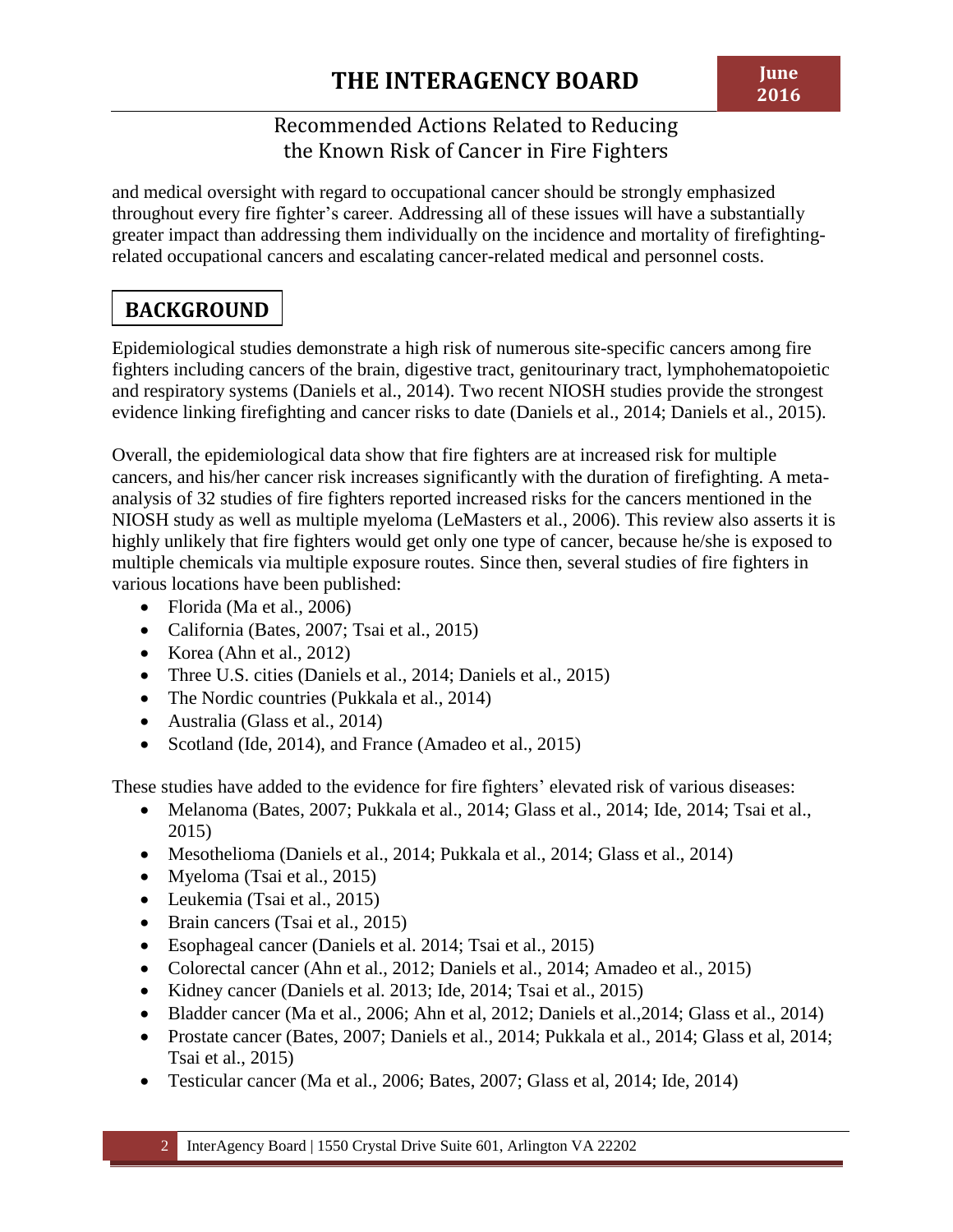and medical oversight with regard to occupational cancer should be strongly emphasized throughout every fire fighter's career. Addressing all of these issues will have a substantially greater impact than addressing them individually on the incidence and mortality of firefightingrelated occupational cancers and escalating cancer-related medical and personnel costs.

# **BACKGROUND**

Epidemiological studies demonstrate a high risk of numerous site-specific cancers among fire fighters including cancers of the brain, digestive tract, genitourinary tract, lymphohematopoietic and respiratory systems (Daniels et al., 2014). Two recent NIOSH studies provide the strongest evidence linking firefighting and cancer risks to date (Daniels et al., 2014; Daniels et al., 2015).

Overall, the epidemiological data show that fire fighters are at increased risk for multiple cancers, and his/her cancer risk increases significantly with the duration of firefighting. A metaanalysis of 32 studies of fire fighters reported increased risks for the cancers mentioned in the NIOSH study as well as multiple myeloma (LeMasters et al., 2006). This review also asserts it is highly unlikely that fire fighters would get only one type of cancer, because he/she is exposed to multiple chemicals via multiple exposure routes. Since then, several studies of fire fighters in various locations have been published:

- Florida (Ma et al., 2006)
- California (Bates, 2007; Tsai et al., 2015)
- Korea (Ahn et al., 2012)
- Three U.S. cities (Daniels et al., 2014; Daniels et al., 2015)
- The Nordic countries (Pukkala et al., 2014)
- Australia (Glass et al., 2014)
- Scotland (Ide, 2014), and France (Amadeo et al., 2015)

These studies have added to the evidence for fire fighters' elevated risk of various diseases:

- Melanoma (Bates, 2007; Pukkala et al., 2014; Glass et al., 2014; Ide, 2014; Tsai et al., 2015)
- Mesothelioma (Daniels et al., 2014; Pukkala et al., 2014; Glass et al., 2014)
- Myeloma (Tsai et al., 2015)
- Leukemia (Tsai et al., 2015)
- Brain cancers (Tsai et al., 2015)
- Esophageal cancer (Daniels et al. 2014; Tsai et al., 2015)
- Colorectal cancer (Ahn et al., 2012; Daniels et al., 2014; Amadeo et al., 2015)
- Kidney cancer (Daniels et al. 2013; Ide, 2014; Tsai et al., 2015)
- Bladder cancer (Ma et al., 2006; Ahn et al, 2012; Daniels et al.,2014; Glass et al., 2014)
- Prostate cancer (Bates, 2007; Daniels et al., 2014; Pukkala et al., 2014; Glass et al, 2014; Tsai et al., 2015)
- Testicular cancer (Ma et al., 2006; Bates, 2007; Glass et al, 2014; Ide, 2014)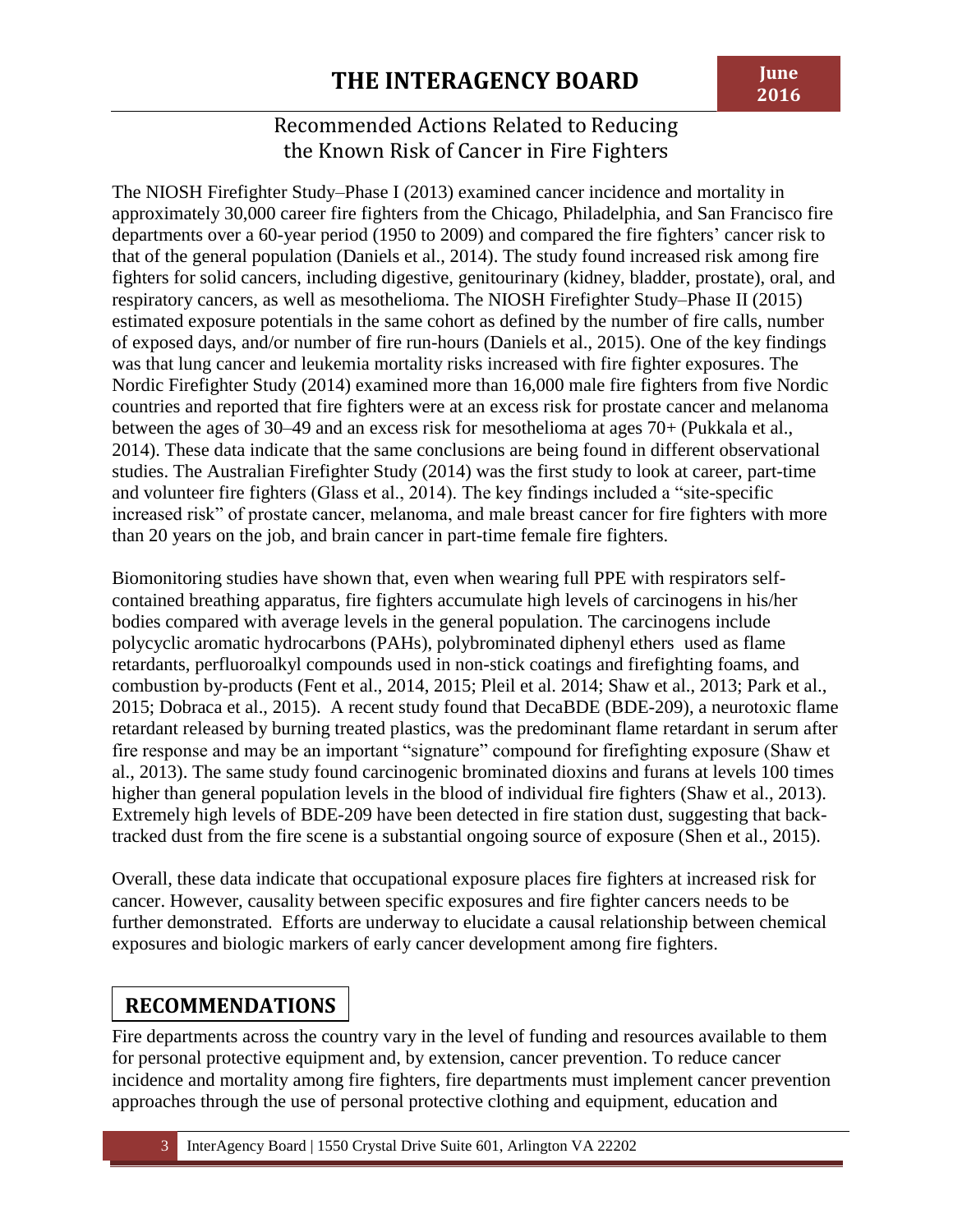The NIOSH Firefighter Study–Phase I (2013) examined cancer incidence and mortality in approximately 30,000 career fire fighters from the Chicago, Philadelphia, and San Francisco fire departments over a 60-year period (1950 to 2009) and compared the fire fighters' cancer risk to that of the general population (Daniels et al., 2014). The study found increased risk among fire fighters for solid cancers, including digestive, genitourinary (kidney, bladder, prostate), oral, and respiratory cancers, as well as mesothelioma. The NIOSH Firefighter Study–Phase II (2015) estimated exposure potentials in the same cohort as defined by the number of fire calls, number of exposed days, and/or number of fire run-hours (Daniels et al., 2015). One of the key findings was that lung cancer and leukemia mortality risks increased with fire fighter exposures. The Nordic Firefighter Study (2014) examined more than 16,000 male fire fighters from five Nordic countries and reported that fire fighters were at an excess risk for prostate cancer and melanoma between the ages of 30–49 and an excess risk for mesothelioma at ages 70+ (Pukkala et al., 2014). These data indicate that the same conclusions are being found in different observational studies. The Australian Firefighter Study (2014) was the first study to look at career, part-time and volunteer fire fighters (Glass et al., 2014). The key findings included a "site-specific increased risk" of prostate cancer, melanoma, and male breast cancer for fire fighters with more than 20 years on the job, and brain cancer in part-time female fire fighters.

Biomonitoring studies have shown that, even when wearing full PPE with respirators selfcontained breathing apparatus, fire fighters accumulate high levels of carcinogens in his/her bodies compared with average levels in the general population. The carcinogens include polycyclic aromatic hydrocarbons (PAHs), polybrominated diphenyl ethers used as flame retardants, perfluoroalkyl compounds used in non-stick coatings and firefighting foams, and combustion by-products (Fent et al., 2014, 2015; Pleil et al. 2014; Shaw et al., 2013; Park et al., 2015; Dobraca et al., 2015). A recent study found that DecaBDE (BDE-209), a neurotoxic flame retardant released by burning treated plastics, was the predominant flame retardant in serum after fire response and may be an important "signature" compound for firefighting exposure (Shaw et al., 2013). The same study found carcinogenic brominated dioxins and furans at levels 100 times higher than general population levels in the blood of individual fire fighters (Shaw et al., 2013). Extremely high levels of BDE-209 have been detected in fire station dust, suggesting that backtracked dust from the fire scene is a substantial ongoing source of exposure (Shen et al., 2015).

Overall, these data indicate that occupational exposure places fire fighters at increased risk for cancer. However, causality between specific exposures and fire fighter cancers needs to be further demonstrated. Efforts are underway to elucidate a causal relationship between chemical exposures and biologic markers of early cancer development among fire fighters.

### **RECOMMENDATIONS**

Fire departments across the country vary in the level of funding and resources available to them for personal protective equipment and, by extension, cancer prevention. To reduce cancer incidence and mortality among fire fighters, fire departments must implement cancer prevention approaches through the use of personal protective clothing and equipment, education and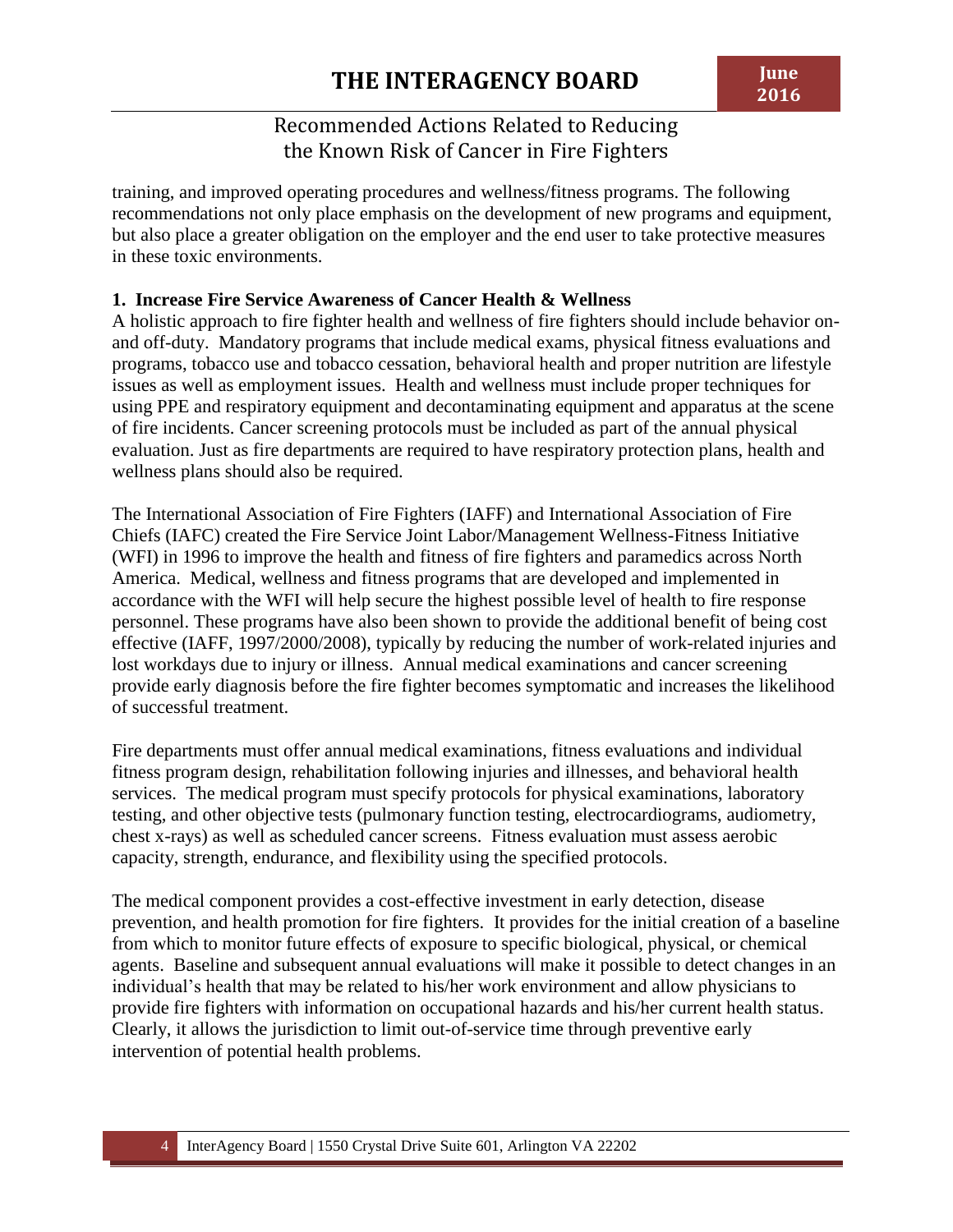training, and improved operating procedures and wellness/fitness programs. The following recommendations not only place emphasis on the development of new programs and equipment, but also place a greater obligation on the employer and the end user to take protective measures in these toxic environments.

#### **1. Increase Fire Service Awareness of Cancer Health & Wellness**

A holistic approach to fire fighter health and wellness of fire fighters should include behavior onand off-duty. Mandatory programs that include medical exams, physical fitness evaluations and programs, tobacco use and tobacco cessation, behavioral health and proper nutrition are lifestyle issues as well as employment issues. Health and wellness must include proper techniques for using PPE and respiratory equipment and decontaminating equipment and apparatus at the scene of fire incidents. Cancer screening protocols must be included as part of the annual physical evaluation. Just as fire departments are required to have respiratory protection plans, health and wellness plans should also be required.

The International Association of Fire Fighters (IAFF) and International Association of Fire Chiefs (IAFC) created the Fire Service Joint Labor/Management Wellness-Fitness Initiative (WFI) in 1996 to improve the health and fitness of fire fighters and paramedics across North America. Medical, wellness and fitness programs that are developed and implemented in accordance with the WFI will help secure the highest possible level of health to fire response personnel. These programs have also been shown to provide the additional benefit of being cost effective (IAFF, 1997/2000/2008), typically by reducing the number of work-related injuries and lost workdays due to injury or illness. Annual medical examinations and cancer screening provide early diagnosis before the fire fighter becomes symptomatic and increases the likelihood of successful treatment.

Fire departments must offer annual medical examinations, fitness evaluations and individual fitness program design, rehabilitation following injuries and illnesses, and behavioral health services. The medical program must specify protocols for physical examinations, laboratory testing, and other objective tests (pulmonary function testing, electrocardiograms, audiometry, chest x-rays) as well as scheduled cancer screens. Fitness evaluation must assess aerobic capacity, strength, endurance, and flexibility using the specified protocols.

The medical component provides a cost-effective investment in early detection, disease prevention, and health promotion for fire fighters. It provides for the initial creation of a baseline from which to monitor future effects of exposure to specific biological, physical, or chemical agents. Baseline and subsequent annual evaluations will make it possible to detect changes in an individual's health that may be related to his/her work environment and allow physicians to provide fire fighters with information on occupational hazards and his/her current health status. Clearly, it allows the jurisdiction to limit out-of-service time through preventive early intervention of potential health problems.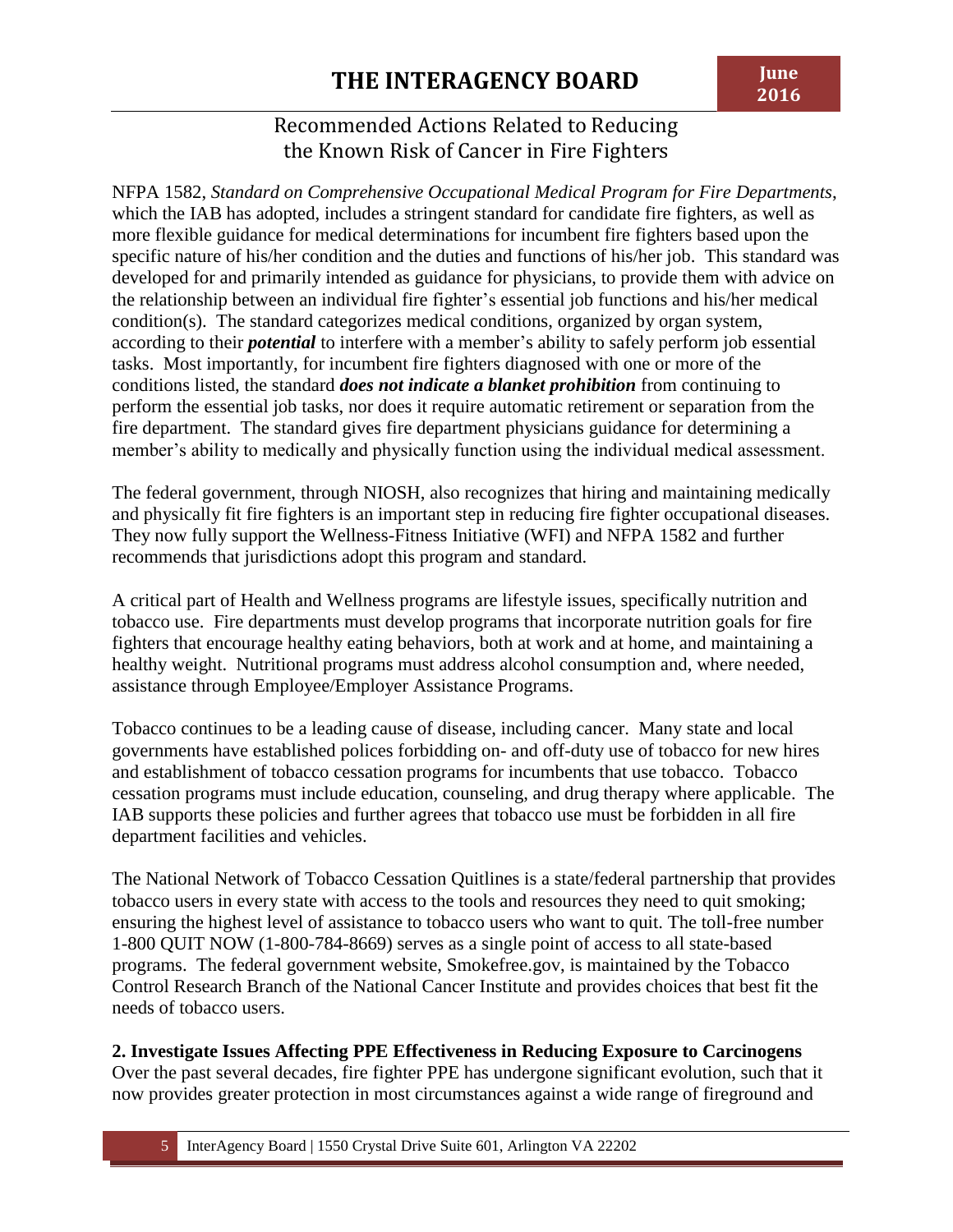NFPA 1582, *Standard on Comprehensive Occupational Medical Program for Fire Departments*, which the IAB has adopted, includes a stringent standard for candidate fire fighters, as well as more flexible guidance for medical determinations for incumbent fire fighters based upon the specific nature of his/her condition and the duties and functions of his/her job. This standard was developed for and primarily intended as guidance for physicians, to provide them with advice on the relationship between an individual fire fighter's essential job functions and his/her medical condition(s). The standard categorizes medical conditions, organized by organ system, according to their *potential* to interfere with a member's ability to safely perform job essential tasks. Most importantly, for incumbent fire fighters diagnosed with one or more of the conditions listed, the standard *does not indicate a blanket prohibition* from continuing to perform the essential job tasks, nor does it require automatic retirement or separation from the fire department. The standard gives fire department physicians guidance for determining a member's ability to medically and physically function using the individual medical assessment.

The federal government, through NIOSH, also recognizes that hiring and maintaining medically and physically fit fire fighters is an important step in reducing fire fighter occupational diseases. They now fully support the Wellness-Fitness Initiative (WFI) and NFPA 1582 and further recommends that jurisdictions adopt this program and standard.

A critical part of Health and Wellness programs are lifestyle issues, specifically nutrition and tobacco use. Fire departments must develop programs that incorporate nutrition goals for fire fighters that encourage healthy eating behaviors, both at work and at home, and maintaining a healthy weight. Nutritional programs must address alcohol consumption and, where needed, assistance through Employee/Employer Assistance Programs.

Tobacco continues to be a leading cause of disease, including cancer. Many state and local governments have established polices forbidding on- and off-duty use of tobacco for new hires and establishment of tobacco cessation programs for incumbents that use tobacco. Tobacco cessation programs must include education, counseling, and drug therapy where applicable. The IAB supports these policies and further agrees that tobacco use must be forbidden in all fire department facilities and vehicles.

The National Network of Tobacco Cessation Quitlines is a state/federal partnership that provides tobacco users in every state with access to the tools and resources they need to quit smoking; ensuring the highest level of assistance to tobacco users who want to quit. The toll-free number 1-800 QUIT NOW (1-800-784-8669) serves as a single point of access to all state-based programs. The federal government website, Smokefree.gov, is maintained by the Tobacco Control Research Branch of the National Cancer Institute and provides choices that best fit the needs of tobacco users.

#### **2. Investigate Issues Affecting PPE Effectiveness in Reducing Exposure to Carcinogens**

Over the past several decades, fire fighter PPE has undergone significant evolution, such that it now provides greater protection in most circumstances against a wide range of fireground and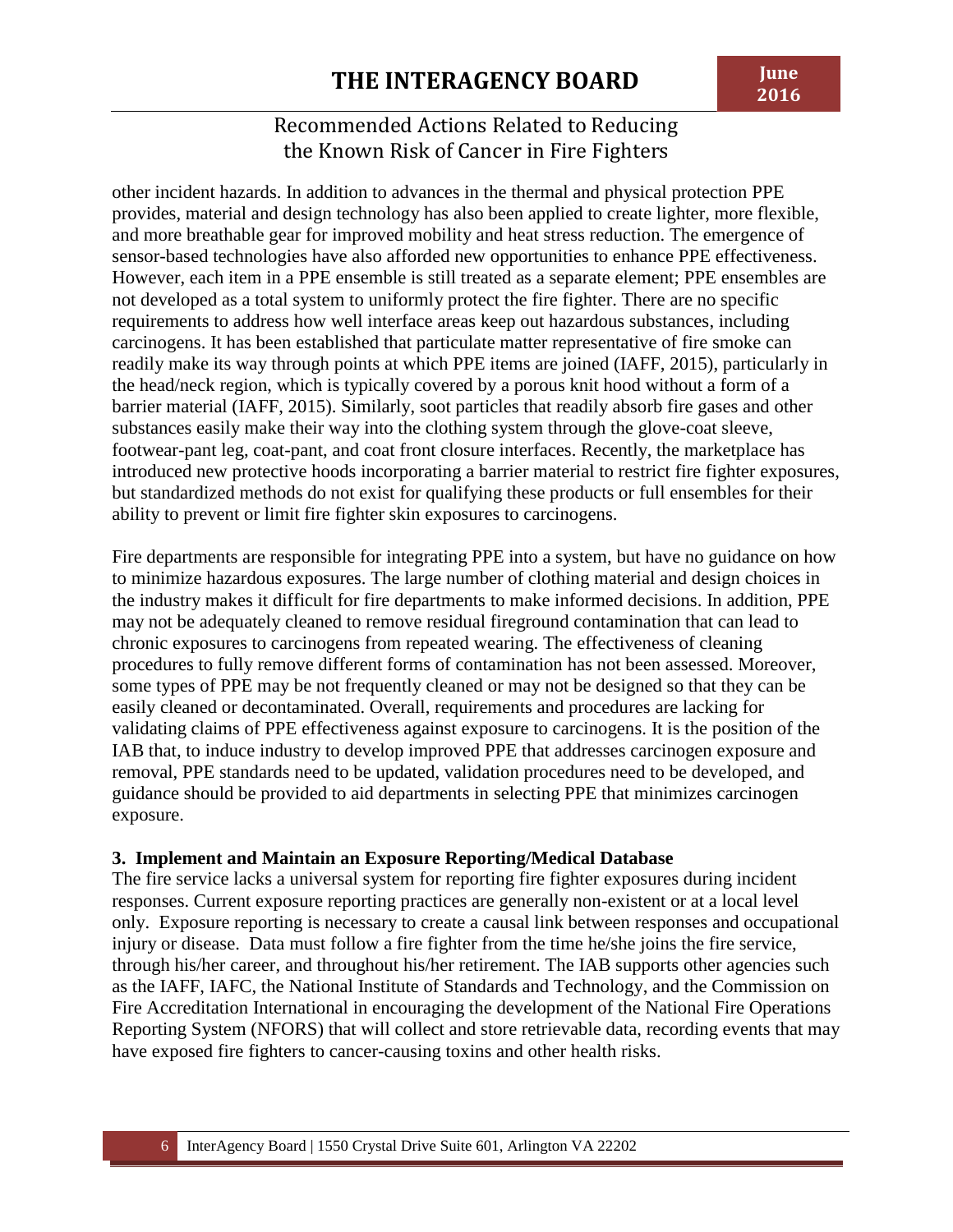other incident hazards. In addition to advances in the thermal and physical protection PPE provides, material and design technology has also been applied to create lighter, more flexible, and more breathable gear for improved mobility and heat stress reduction. The emergence of sensor-based technologies have also afforded new opportunities to enhance PPE effectiveness. However, each item in a PPE ensemble is still treated as a separate element; PPE ensembles are not developed as a total system to uniformly protect the fire fighter. There are no specific requirements to address how well interface areas keep out hazardous substances, including carcinogens. It has been established that particulate matter representative of fire smoke can readily make its way through points at which PPE items are joined (IAFF, 2015), particularly in the head/neck region, which is typically covered by a porous knit hood without a form of a barrier material (IAFF, 2015). Similarly, soot particles that readily absorb fire gases and other substances easily make their way into the clothing system through the glove-coat sleeve, footwear-pant leg, coat-pant, and coat front closure interfaces. Recently, the marketplace has introduced new protective hoods incorporating a barrier material to restrict fire fighter exposures, but standardized methods do not exist for qualifying these products or full ensembles for their ability to prevent or limit fire fighter skin exposures to carcinogens.

Fire departments are responsible for integrating PPE into a system, but have no guidance on how to minimize hazardous exposures. The large number of clothing material and design choices in the industry makes it difficult for fire departments to make informed decisions. In addition, PPE may not be adequately cleaned to remove residual fireground contamination that can lead to chronic exposures to carcinogens from repeated wearing. The effectiveness of cleaning procedures to fully remove different forms of contamination has not been assessed. Moreover, some types of PPE may be not frequently cleaned or may not be designed so that they can be easily cleaned or decontaminated. Overall, requirements and procedures are lacking for validating claims of PPE effectiveness against exposure to carcinogens. It is the position of the IAB that, to induce industry to develop improved PPE that addresses carcinogen exposure and removal, PPE standards need to be updated, validation procedures need to be developed, and guidance should be provided to aid departments in selecting PPE that minimizes carcinogen exposure.

#### **3. Implement and Maintain an Exposure Reporting/Medical Database**

The fire service lacks a universal system for reporting fire fighter exposures during incident responses. Current exposure reporting practices are generally non-existent or at a local level only. Exposure reporting is necessary to create a causal link between responses and occupational injury or disease. Data must follow a fire fighter from the time he/she joins the fire service, through his/her career, and throughout his/her retirement. The IAB supports other agencies such as the IAFF, IAFC, the National Institute of Standards and Technology, and the Commission on Fire Accreditation International in encouraging the development of the National Fire Operations Reporting System (NFORS) that will collect and store retrievable data, recording events that may have exposed fire fighters to cancer-causing toxins and other health risks.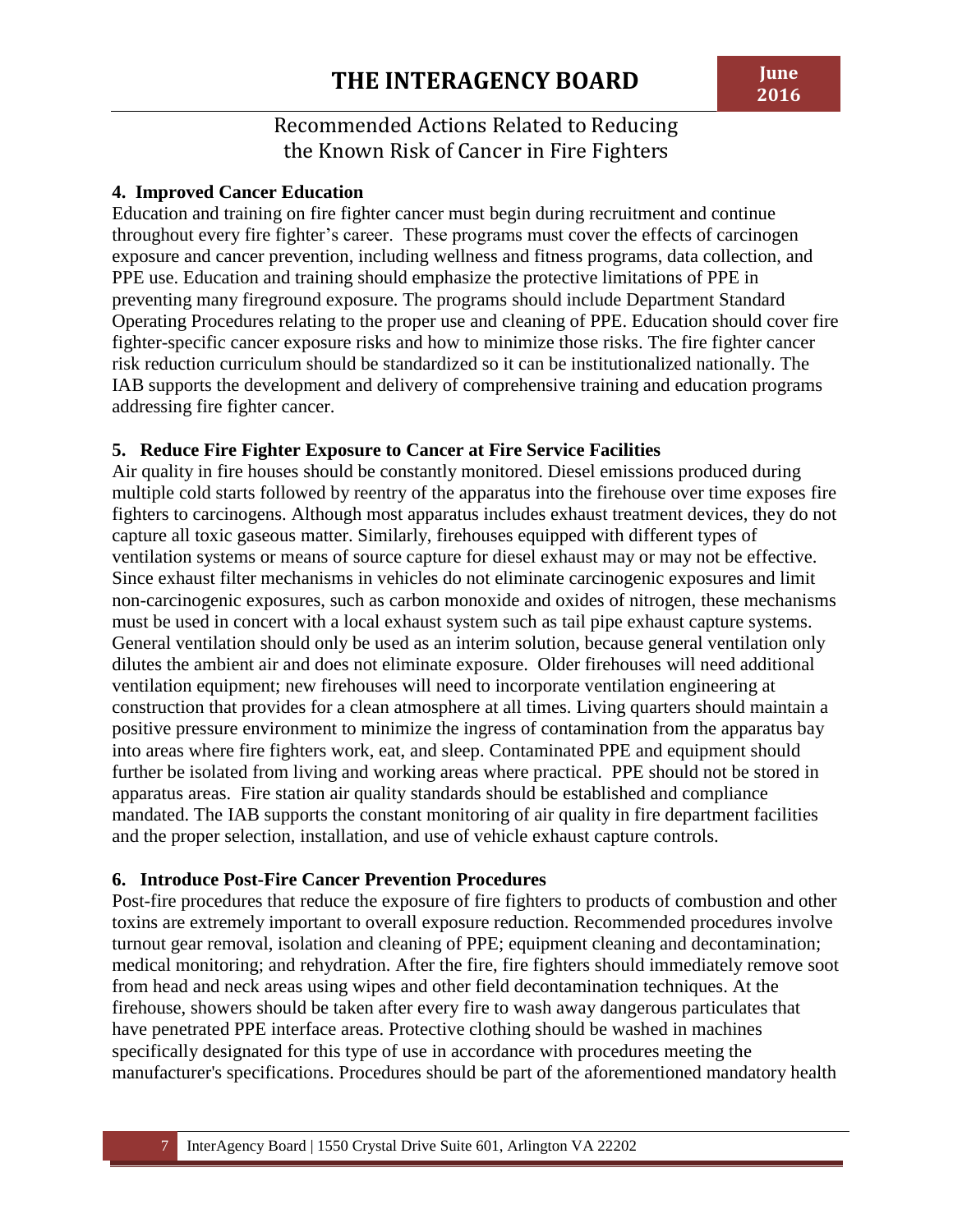#### **4. Improved Cancer Education**

Education and training on fire fighter cancer must begin during recruitment and continue throughout every fire fighter's career. These programs must cover the effects of carcinogen exposure and cancer prevention, including wellness and fitness programs, data collection, and PPE use. Education and training should emphasize the protective limitations of PPE in preventing many fireground exposure. The programs should include Department Standard Operating Procedures relating to the proper use and cleaning of PPE. Education should cover fire fighter-specific cancer exposure risks and how to minimize those risks. The fire fighter cancer risk reduction curriculum should be standardized so it can be institutionalized nationally. The IAB supports the development and delivery of comprehensive training and education programs addressing fire fighter cancer.

#### **5. Reduce Fire Fighter Exposure to Cancer at Fire Service Facilities**

Air quality in fire houses should be constantly monitored. Diesel emissions produced during multiple cold starts followed by reentry of the apparatus into the firehouse over time exposes fire fighters to carcinogens. Although most apparatus includes exhaust treatment devices, they do not capture all toxic gaseous matter. Similarly, firehouses equipped with different types of ventilation systems or means of source capture for diesel exhaust may or may not be effective. Since exhaust filter mechanisms in vehicles do not eliminate carcinogenic exposures and limit non-carcinogenic exposures, such as carbon monoxide and oxides of nitrogen, these mechanisms must be used in concert with a local exhaust system such as tail pipe exhaust capture systems. General ventilation should only be used as an interim solution, because general ventilation only dilutes the ambient air and does not eliminate exposure. Older firehouses will need additional ventilation equipment; new firehouses will need to incorporate ventilation engineering at construction that provides for a clean atmosphere at all times. Living quarters should maintain a positive pressure environment to minimize the ingress of contamination from the apparatus bay into areas where fire fighters work, eat, and sleep. Contaminated PPE and equipment should further be isolated from living and working areas where practical. PPE should not be stored in apparatus areas. Fire station air quality standards should be established and compliance mandated. The IAB supports the constant monitoring of air quality in fire department facilities and the proper selection, installation, and use of vehicle exhaust capture controls.

#### **6. Introduce Post-Fire Cancer Prevention Procedures**

Post-fire procedures that reduce the exposure of fire fighters to products of combustion and other toxins are extremely important to overall exposure reduction. Recommended procedures involve turnout gear removal, isolation and cleaning of PPE; equipment cleaning and decontamination; medical monitoring; and rehydration. After the fire, fire fighters should immediately remove soot from head and neck areas using wipes and other field decontamination techniques. At the firehouse, showers should be taken after every fire to wash away dangerous particulates that have penetrated PPE interface areas. Protective clothing should be washed in machines specifically designated for this type of use in accordance with procedures meeting the manufacturer's specifications. Procedures should be part of the aforementioned mandatory health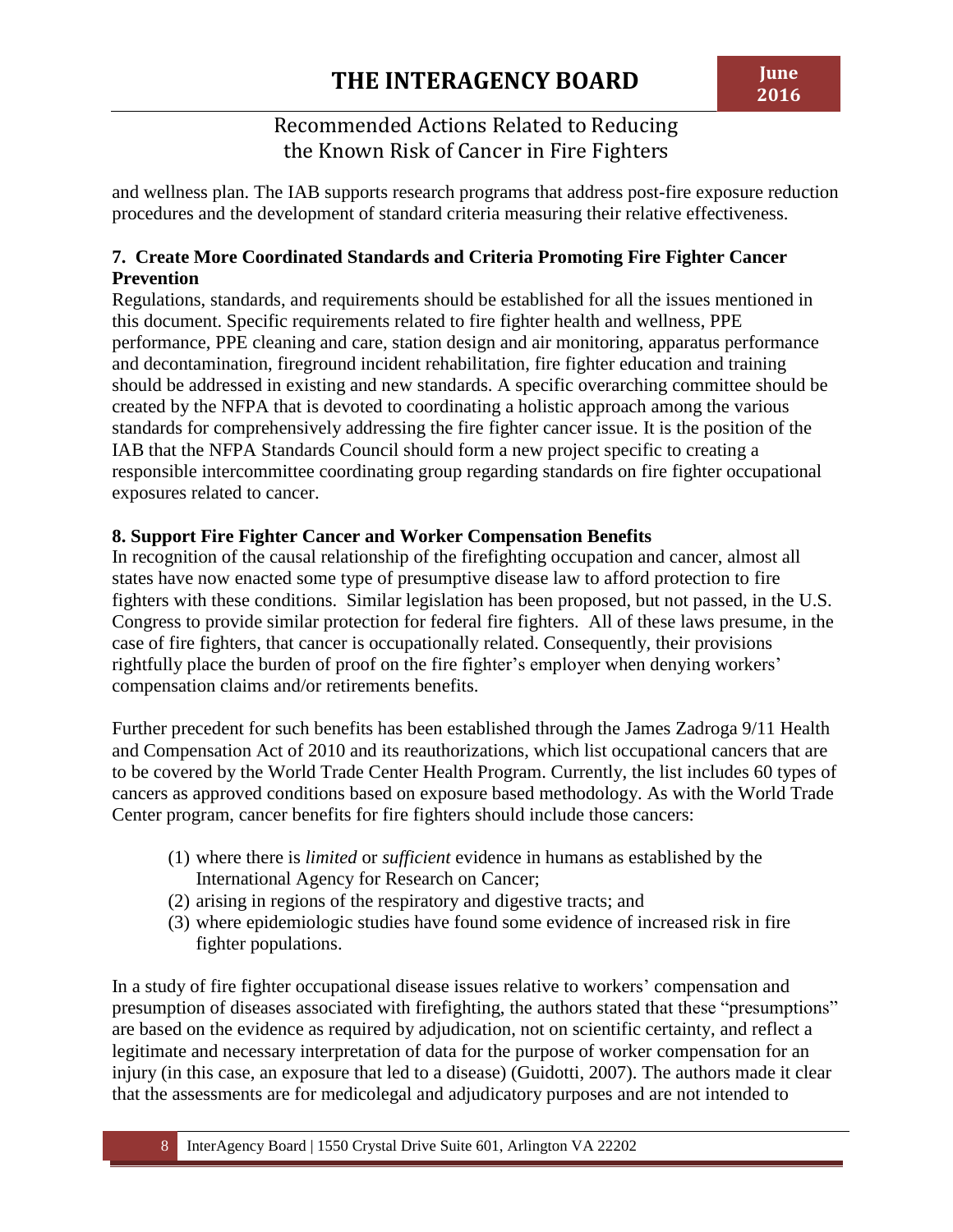and wellness plan. The IAB supports research programs that address post-fire exposure reduction procedures and the development of standard criteria measuring their relative effectiveness.

#### **7. Create More Coordinated Standards and Criteria Promoting Fire Fighter Cancer Prevention**

Regulations, standards, and requirements should be established for all the issues mentioned in this document. Specific requirements related to fire fighter health and wellness, PPE performance, PPE cleaning and care, station design and air monitoring, apparatus performance and decontamination, fireground incident rehabilitation, fire fighter education and training should be addressed in existing and new standards. A specific overarching committee should be created by the NFPA that is devoted to coordinating a holistic approach among the various standards for comprehensively addressing the fire fighter cancer issue. It is the position of the IAB that the NFPA Standards Council should form a new project specific to creating a responsible intercommittee coordinating group regarding standards on fire fighter occupational exposures related to cancer.

#### **8. Support Fire Fighter Cancer and Worker Compensation Benefits**

In recognition of the causal relationship of the firefighting occupation and cancer, almost all states have now enacted some type of presumptive disease law to afford protection to fire fighters with these conditions. Similar legislation has been proposed, but not passed, in the U.S. Congress to provide similar protection for federal fire fighters. All of these laws presume, in the case of fire fighters, that cancer is occupationally related. Consequently, their provisions rightfully place the burden of proof on the fire fighter's employer when denying workers' compensation claims and/or retirements benefits.

Further precedent for such benefits has been established through the James Zadroga 9/11 Health and Compensation Act of 2010 and its reauthorizations, which list occupational cancers that are to be covered by the World Trade Center Health Program. Currently, the list includes 60 types of cancers as approved conditions based on exposure based methodology. As with the World Trade Center program, cancer benefits for fire fighters should include those cancers:

- (1) where there is *limited* or *sufficient* evidence in humans as established by the International Agency for Research on Cancer;
- (2) arising in regions of the respiratory and digestive tracts; and
- (3) where epidemiologic studies have found some evidence of increased risk in fire fighter populations.

In a study of fire fighter occupational disease issues relative to workers' compensation and presumption of diseases associated with firefighting, the authors stated that these "presumptions" are based on the evidence as required by adjudication, not on scientific certainty, and reflect a legitimate and necessary interpretation of data for the purpose of worker compensation for an injury (in this case, an exposure that led to a disease) (Guidotti, 2007). The authors made it clear that the assessments are for medicolegal and adjudicatory purposes and are not intended to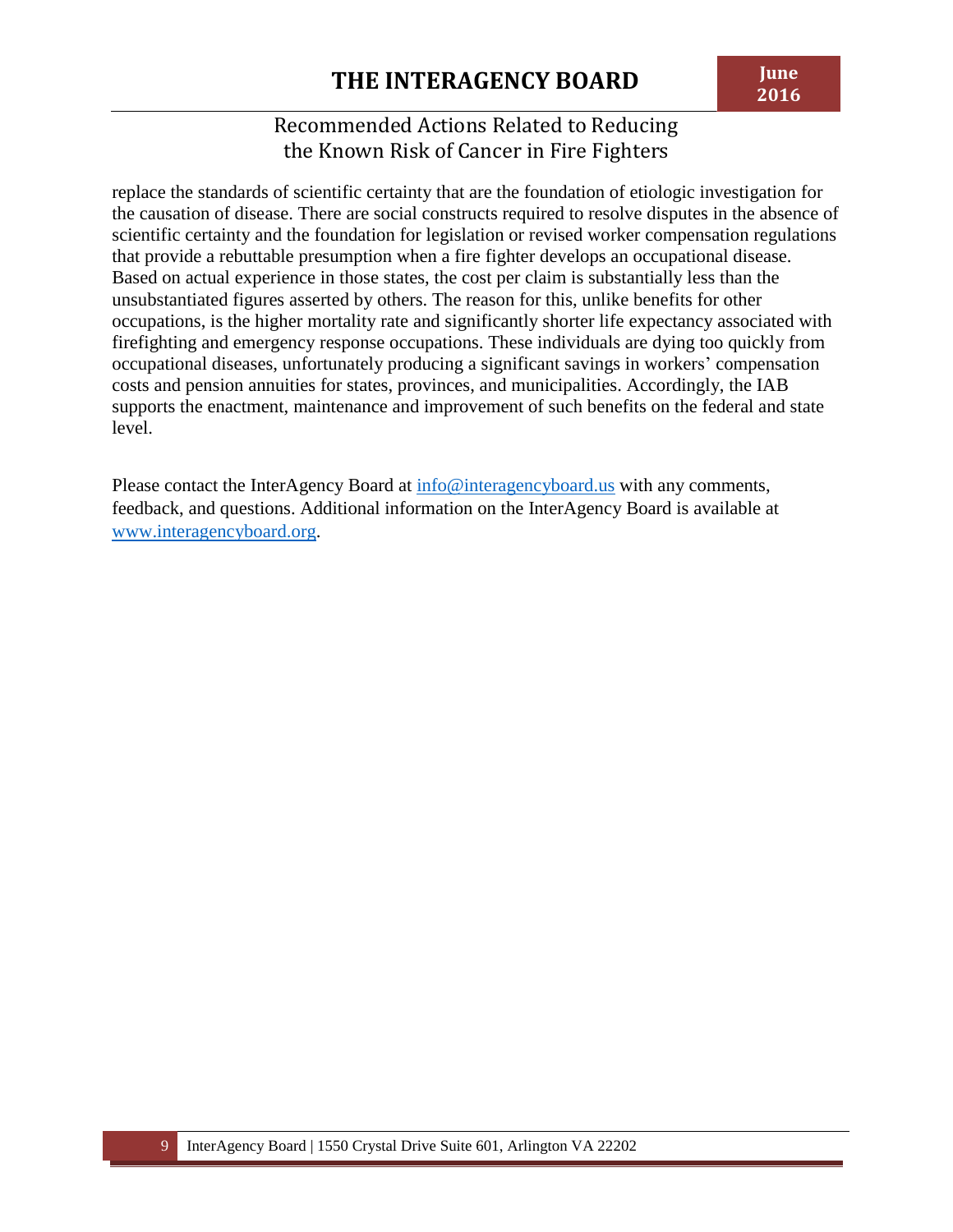replace the standards of scientific certainty that are the foundation of etiologic investigation for the causation of disease. There are social constructs required to resolve disputes in the absence of scientific certainty and the foundation for legislation or revised worker compensation regulations that provide a rebuttable presumption when a fire fighter develops an occupational disease. Based on actual experience in those states, the cost per claim is substantially less than the unsubstantiated figures asserted by others. The reason for this, unlike benefits for other occupations, is the higher mortality rate and significantly shorter life expectancy associated with firefighting and emergency response occupations. These individuals are dying too quickly from occupational diseases, unfortunately producing a significant savings in workers' compensation costs and pension annuities for states, provinces, and municipalities. Accordingly, the IAB supports the enactment, maintenance and improvement of such benefits on the federal and state level.

Please contact the InterAgency Board at  $\frac{info@interagencyboard.us}{info@interagencyboard.us}$  with any comments, feedback, and questions. Additional information on the InterAgency Board is available at www.interagencyboard.org.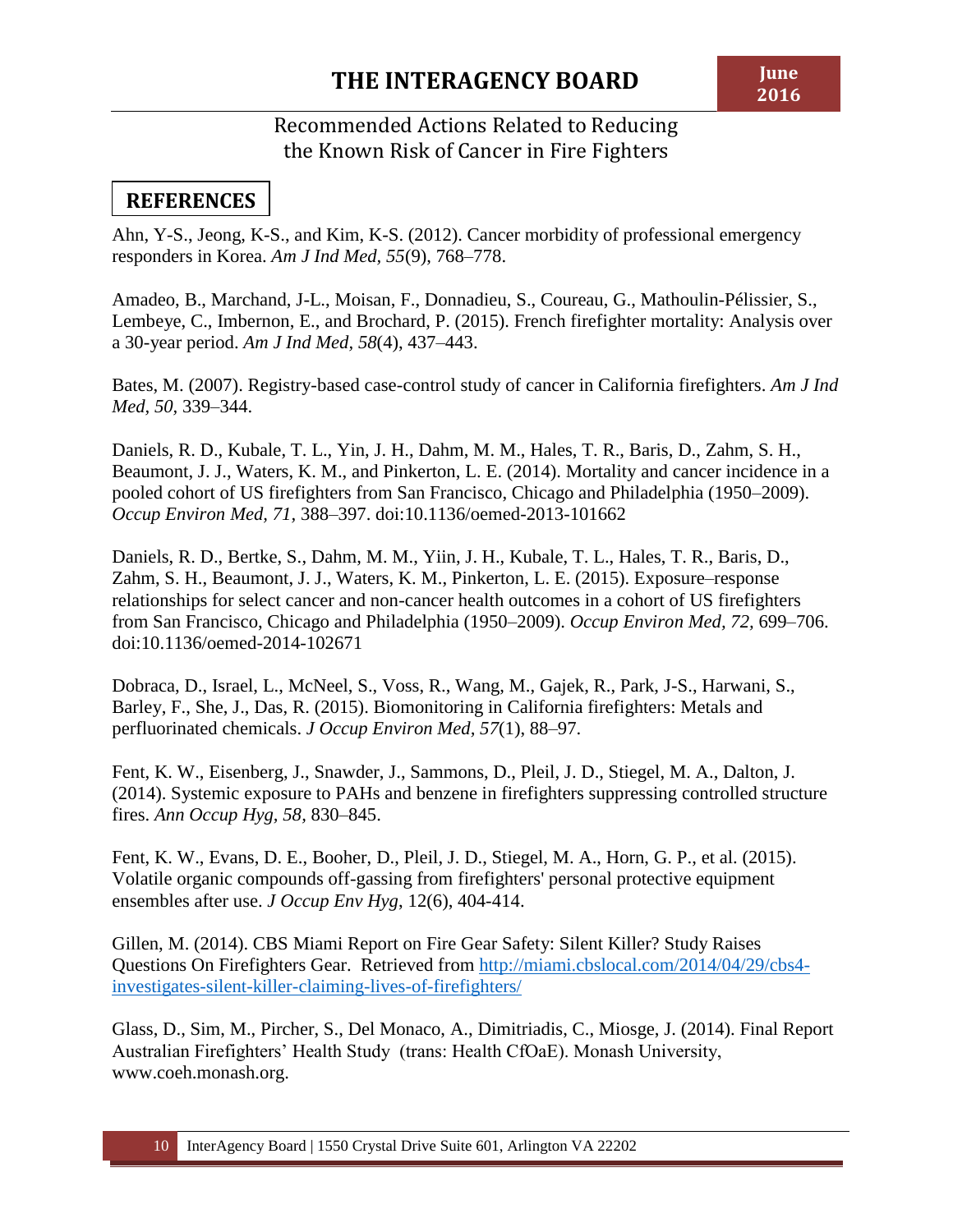### **REFERENCES**

Ahn, Y-S., Jeong, K-S., and Kim, K-S. (2012). Cancer morbidity of professional emergency responders in Korea. *Am J Ind Med, 55*(9), 768–778.

Amadeo, B., Marchand, J-L., Moisan, F., Donnadieu, S., Coureau, G., Mathoulin-Pélissier, S., Lembeye, C., Imbernon, E., and Brochard, P. (2015). French firefighter mortality: Analysis over a 30-year period. *Am J Ind Med, 58*(4), 437–443.

Bates, M. (2007). Registry-based case-control study of cancer in California firefighters. *Am J Ind Med, 50,* 339–344.

Daniels, R. D., Kubale, T. L., Yin, J. H., Dahm, M. M., Hales, T. R., Baris, D., Zahm, S. H., Beaumont, J. J., Waters, K. M., and Pinkerton, L. E. (2014). Mortality and cancer incidence in a pooled cohort of US firefighters from San Francisco, Chicago and Philadelphia (1950–2009). *Occup Environ Med, 71,* 388–397. doi:10.1136/oemed-2013-101662

Daniels, R. D., Bertke, S., Dahm, M. M., Yiin, J. H., Kubale, T. L., Hales, T. R., Baris, D., Zahm, S. H., Beaumont, J. J., Waters, K. M., Pinkerton, L. E. (2015). Exposure–response relationships for select cancer and non-cancer health outcomes in a cohort of US firefighters from San Francisco, Chicago and Philadelphia (1950–2009). *Occup Environ Med, 72,* 699–706. doi:10.1136/oemed-2014-102671

Dobraca, D., Israel, L., McNeel, S., Voss, R., Wang, M., Gajek, R., Park, J-S., Harwani, S., Barley, F., She, J., Das, R. (2015). Biomonitoring in California firefighters: Metals and perfluorinated chemicals. *J Occup Environ Med, 57*(1), 88–97.

Fent, K. W., Eisenberg, J., Snawder, J., Sammons, D., Pleil, J. D., Stiegel, M. A., Dalton, J. (2014). Systemic exposure to PAHs and benzene in firefighters suppressing controlled structure fires. *Ann Occup Hyg, 58,* 830–845.

Fent, K. W., Evans, D. E., Booher, D., Pleil, J. D., Stiegel, M. A., Horn, G. P., et al. (2015). Volatile organic compounds off-gassing from firefighters' personal protective equipment ensembles after use. *J Occup Env Hyg*, 12(6), 404-414.

Gillen, M. (2014). CBS Miami Report on Fire Gear Safety: Silent Killer? Study Raises Questions On Firefighters Gear. Retrieved from http://miami.cbslocal.com/2014/04/29/cbs4 investigates-silent-killer-claiming-lives-of-firefighters/

Glass, D., Sim, M., Pircher, S., Del Monaco, A., Dimitriadis, C., Miosge, J. (2014). Final Report Australian Firefighters' Health Study (trans: Health CfOaE). Monash University, www.coeh.monash.org.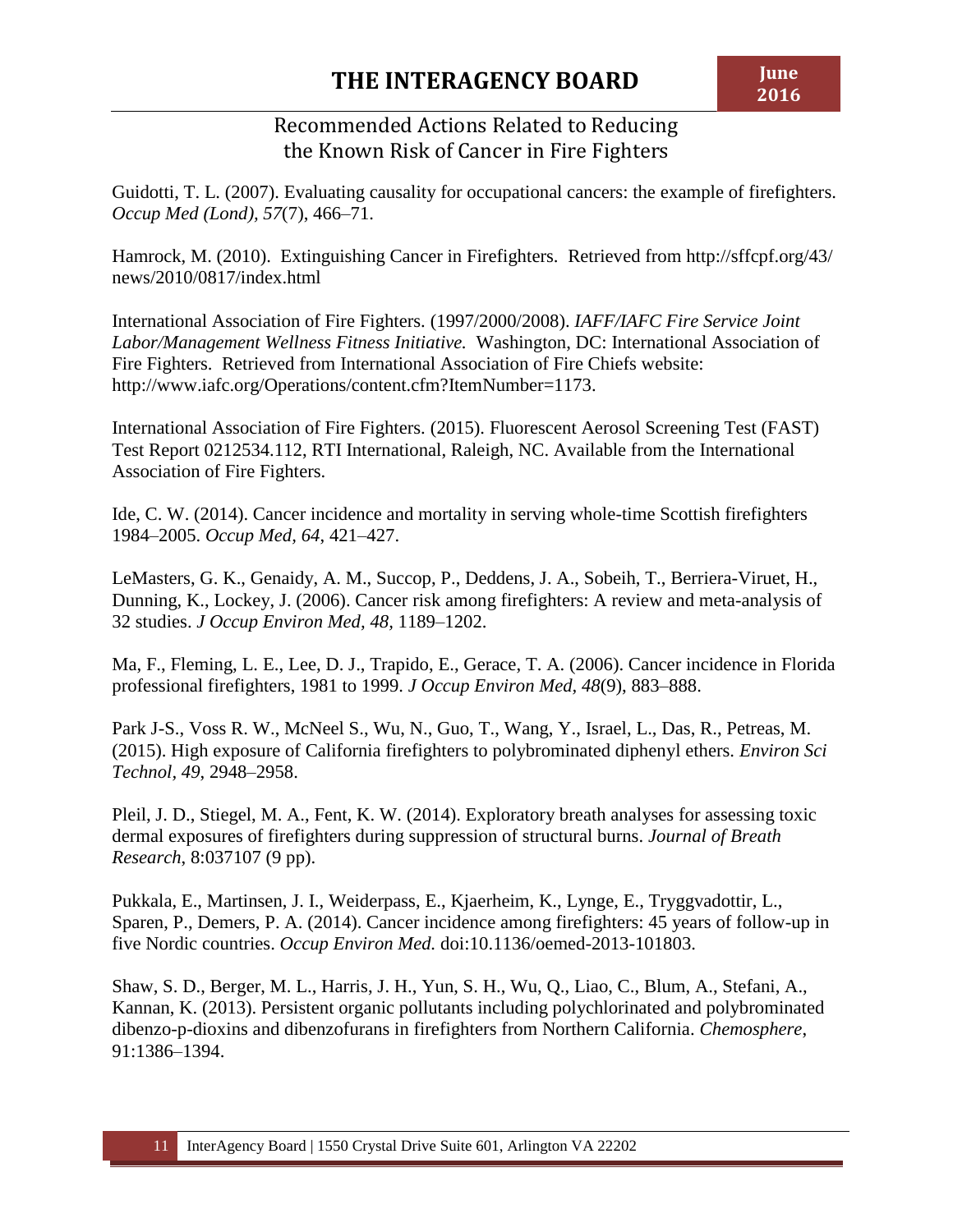#### **June 2016**

# Recommended Actions Related to Reducing the Known Risk of Cancer in Fire Fighters

Guidotti, T. L. (2007). Evaluating causality for occupational cancers: the example of firefighters. *Occup Med (Lond), 57*(7), 466–71.

Hamrock, M. (2010). Extinguishing Cancer in Firefighters. Retrieved from http://sffcpf.org/43/ news/2010/0817/index.html

International Association of Fire Fighters. (1997/2000/2008). *IAFF/IAFC Fire Service Joint Labor/Management Wellness Fitness Initiative.* Washington, DC: International Association of Fire Fighters. Retrieved from International Association of Fire Chiefs website: http://www.iafc.org/Operations/content.cfm?ItemNumber=1173.

International Association of Fire Fighters. (2015). Fluorescent Aerosol Screening Test (FAST) Test Report 0212534.112, RTI International, Raleigh, NC. Available from the International Association of Fire Fighters.

Ide, C. W. (2014). Cancer incidence and mortality in serving whole-time Scottish firefighters 1984–2005. *Occup Med, 64*, 421–427.

LeMasters, G. K., Genaidy, A. M., Succop, P., Deddens, J. A., Sobeih, T., Berriera-Viruet, H., Dunning, K., Lockey, J. (2006). Cancer risk among firefighters: A review and meta-analysis of 32 studies. *J Occup Environ Med, 48,* 1189–1202.

Ma, F., Fleming, L. E., Lee, D. J., Trapido, E., Gerace, T. A. (2006). Cancer incidence in Florida professional firefighters, 1981 to 1999. *J Occup Environ Med, 48*(9), 883–888.

Park J-S., Voss R. W., McNeel S., Wu, N., Guo, T., Wang, Y., Israel, L., Das, R., Petreas, M. (2015). High exposure of California firefighters to polybrominated diphenyl ethers. *Environ Sci Technol, 49*, 2948–2958.

Pleil, J. D., Stiegel, M. A., Fent, K. W. (2014). Exploratory breath analyses for assessing toxic dermal exposures of firefighters during suppression of structural burns. *Journal of Breath Research*, 8:037107 (9 pp).

Pukkala, E., Martinsen, J. I., Weiderpass, E., Kjaerheim, K., Lynge, E., Tryggvadottir, L., Sparen, P., Demers, P. A. (2014). Cancer incidence among firefighters: 45 years of follow-up in five Nordic countries. *Occup Environ Med.* doi:10.1136/oemed-2013-101803.

Shaw, S. D., Berger, M. L., Harris, J. H., Yun, S. H., Wu, Q., Liao, C., Blum, A., Stefani, A., Kannan, K. (2013). Persistent organic pollutants including polychlorinated and polybrominated dibenzo-p-dioxins and dibenzofurans in firefighters from Northern California. *Chemosphere*, 91:1386–1394.